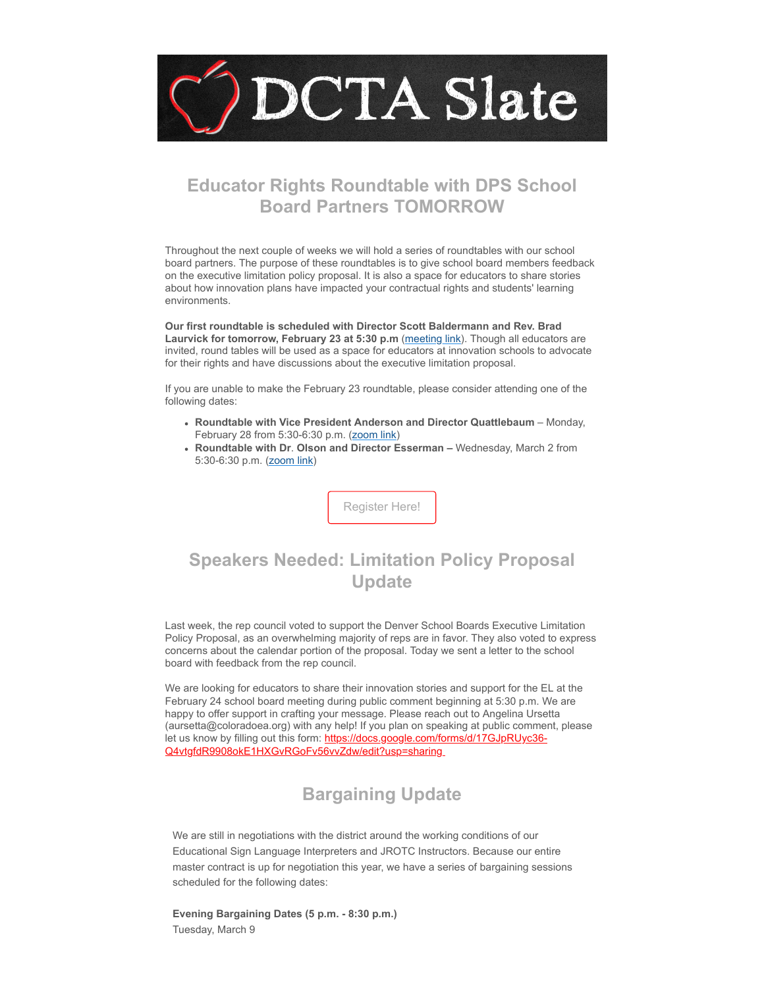

## **Educator Rights Roundtable with DPS School Board Partners TOMORROW**

Throughout the next couple of weeks we will hold a series of roundtables with our school board partners. The purpose of these roundtables is to give school board members feedback on the executive limitation policy proposal. It is also a space for educators to share stories about how innovation plans have impacted your contractual rights and students' learning environments.

**Our first roundtable is scheduled with Director Scott Baldermann and Rev. Brad Laurvick for tomorrow, February 23 at 5:30 p.m** [\(meeting link\)](https://coloradoea.zoom.us/s/93060810380?emci=6ebe3bf9-3e94-ec11-a507-281878b83d8a&emdi=ea000000-0000-0000-0000-000000000001&ceid={{ContactsEmailID}}). Though all educators are invited, round tables will be used as a space for educators at innovation schools to advocate for their rights and have discussions about the executive limitation proposal.

If you are unable to make the February 23 roundtable, please consider attending one of the following dates:

- **Roundtable with Vice President Anderson and Director Quattlebaum** Monday, February 28 from 5:30-6:30 p.m. ([zoom link](https://coloradoea.zoom.us/j/96100070371?emci=6ebe3bf9-3e94-ec11-a507-281878b83d8a&emdi=ea000000-0000-0000-0000-000000000001&ceid={{ContactsEmailID}}))
- **Roundtable with Dr**. **Olson and Director Esserman** Wednesday, March 2 from 5:30-6:30 p.m. ([zoom link](https://coloradoea.zoom.us/j/98918573726?emci=6ebe3bf9-3e94-ec11-a507-281878b83d8a&emdi=ea000000-0000-0000-0000-000000000001&ceid={{ContactsEmailID}}))

[Register Here!](https://forms.gle/kzxy3xtU3GHhA9148?emci=6ebe3bf9-3e94-ec11-a507-281878b83d8a&emdi=ea000000-0000-0000-0000-000000000001&ceid={{ContactsEmailID}})

# **Speakers Needed: Limitation Policy Proposal Update**

Last week, the rep council voted to support the Denver School Boards Executive Limitation Policy Proposal, as an overwhelming majority of reps are in favor. They also voted to express concerns about the calendar portion of the proposal. Today we sent a letter to the school board with feedback from the rep council.

We are looking for educators to share their innovation stories and support for the EL at the February 24 school board meeting during public comment beginning at 5:30 p.m. We are happy to offer support in crafting your message. Please reach out to Angelina Ursetta (aursetta@coloradoea.org) with any help! If you plan on speaking at public comment, please [let us know by filling out this form: https://docs.google.com/forms/d/17GJpRUyc36-](https://docs.google.com/forms/d/17GJpRUyc36-Q4vtgfdR9908okE1HXGvRGoFv56vvZdw/edit?usp=sharing&emci=6ebe3bf9-3e94-ec11-a507-281878b83d8a&emdi=ea000000-0000-0000-0000-000000000001&ceid={{ContactsEmailID}}) Q4vtgfdR9908okE1HXGvRGoFv56vvZdw/edit?usp=sharing

# **Bargaining Update**

We are still in negotiations with the district around the working conditions of our Educational Sign Language Interpreters and JROTC Instructors. Because our entire master contract is up for negotiation this year, we have a series of bargaining sessions scheduled for the following dates:

**Evening Bargaining Dates (5 p.m. - 8:30 p.m.)** Tuesday, March 9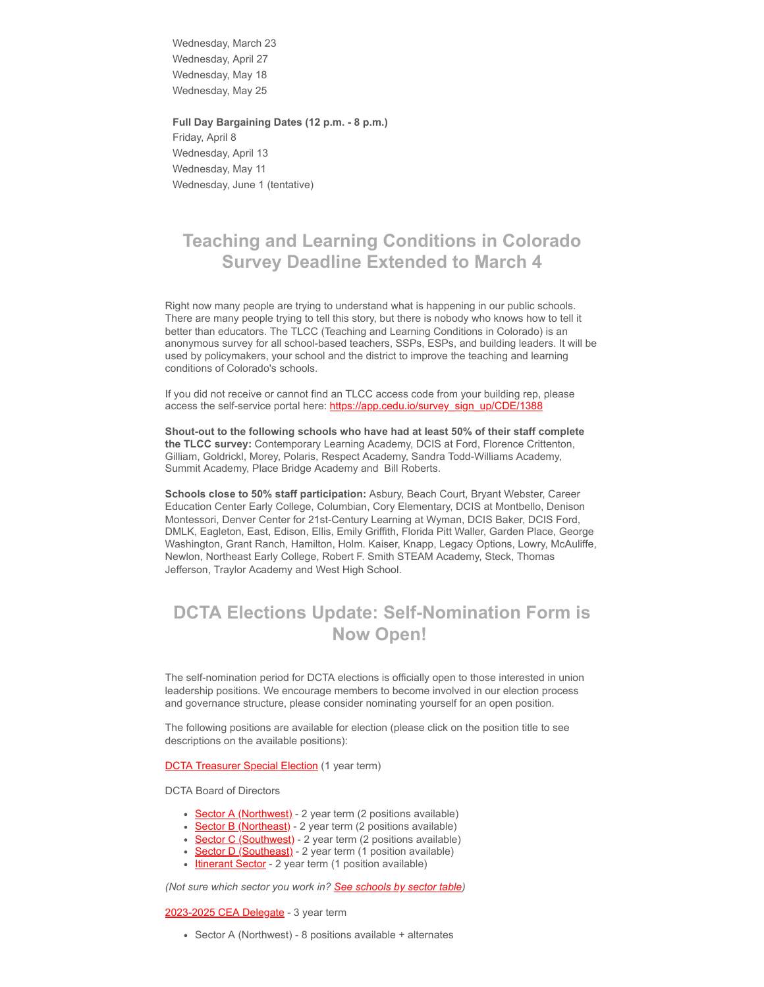Wednesday, March 23 Wednesday, April 27 Wednesday, May 18 Wednesday, May 25

**Full Day Bargaining Dates (12 p.m. - 8 p.m.)**

Friday, April 8 Wednesday, April 13 Wednesday, May 11 Wednesday, June 1 (tentative)

### **Teaching and Learning Conditions in Colorado Survey Deadline Extended to March 4**

Right now many people are trying to understand what is happening in our public schools. There are many people trying to tell this story, but there is nobody who knows how to tell it better than educators. The TLCC (Teaching and Learning Conditions in Colorado) is an anonymous survey for all school-based teachers, SSPs, ESPs, and building leaders. It will be used by policymakers, your school and the district to improve the teaching and learning conditions of Colorado's schools.

If you did not receive or cannot find an TLCC access code from your building rep, please access the self-service portal here: [https://app.cedu.io/survey\\_sign\\_up/CDE/1388](https://app.cedu.io/survey_sign_up/CDE/1388?emci=6ebe3bf9-3e94-ec11-a507-281878b83d8a&emdi=ea000000-0000-0000-0000-000000000001&ceid={{ContactsEmailID}})

**Shout-out to the following schools who have had at least 50% of their staff complete the TLCC survey:** Contemporary Learning Academy, DCIS at Ford, Florence Crittenton, Gilliam, Goldrickl, Morey, Polaris, Respect Academy, Sandra Todd-Williams Academy, Summit Academy, Place Bridge Academy and Bill Roberts.

**Schools close to 50% staff participation:** Asbury, Beach Court, Bryant Webster, Career Education Center Early College, Columbian, Cory Elementary, DCIS at Montbello, Denison Montessori, Denver Center for 21st-Century Learning at Wyman, DCIS Baker, DCIS Ford, DMLK, Eagleton, East, Edison, Ellis, Emily Griffith, Florida Pitt Waller, Garden Place, George Washington, Grant Ranch, Hamilton, Holm. Kaiser, Knapp, Legacy Options, Lowry, McAuliffe, Newlon, Northeast Early College, Robert F. Smith STEAM Academy, Steck, Thomas Jefferson, Traylor Academy and West High School.

## **DCTA Elections Update: Self-Nomination Form is Now Open!**

The self-nomination period for DCTA elections is officially open to those interested in union leadership positions. We encourage members to become involved in our election process and governance structure, please consider nominating yourself for an open position.

The following positions are available for election (please click on the position title to see descriptions on the available positions):

#### **[DCTA Treasurer Special Election](https://docs.google.com/document/d/1NnA5lHuYkyfrij4988XGF5ndyBYJhY5bQgmkV0adQjo/edit?emci=6ebe3bf9-3e94-ec11-a507-281878b83d8a&emdi=ea000000-0000-0000-0000-000000000001&ceid={{ContactsEmailID}}#bookmark=id.nnhep2tf3854)** (1 year term)

DCTA Board of Directors

- [Sector A \(Northwest\)](https://docs.google.com/document/d/1NnA5lHuYkyfrij4988XGF5ndyBYJhY5bQgmkV0adQjo/edit?emci=6ebe3bf9-3e94-ec11-a507-281878b83d8a&emdi=ea000000-0000-0000-0000-000000000001&ceid={{ContactsEmailID}}#bookmark=id.59okvbmjn0vd) 2 year term (2 positions available)
- [Sector B \(Northeast\)](https://docs.google.com/document/d/1NnA5lHuYkyfrij4988XGF5ndyBYJhY5bQgmkV0adQjo/edit?emci=6ebe3bf9-3e94-ec11-a507-281878b83d8a&emdi=ea000000-0000-0000-0000-000000000001&ceid={{ContactsEmailID}}#bookmark=id.59okvbmjn0vd) 2 year term (2 positions available)
- [Sector C \(Southwest\)](https://docs.google.com/document/d/1NnA5lHuYkyfrij4988XGF5ndyBYJhY5bQgmkV0adQjo/edit?emci=6ebe3bf9-3e94-ec11-a507-281878b83d8a&emdi=ea000000-0000-0000-0000-000000000001&ceid={{ContactsEmailID}}#bookmark=id.59okvbmjn0vd)  2 year term (2 positions available)
- [Sector D \(Southeast\)](https://docs.google.com/document/d/1NnA5lHuYkyfrij4988XGF5ndyBYJhY5bQgmkV0adQjo/edit?emci=6ebe3bf9-3e94-ec11-a507-281878b83d8a&emdi=ea000000-0000-0000-0000-000000000001&ceid={{ContactsEmailID}}#bookmark=id.59okvbmjn0vd) 2 year term (1 position available)
- [Itinerant Sector](https://docs.google.com/document/d/1NnA5lHuYkyfrij4988XGF5ndyBYJhY5bQgmkV0adQjo/edit?emci=6ebe3bf9-3e94-ec11-a507-281878b83d8a&emdi=ea000000-0000-0000-0000-000000000001&ceid={{ContactsEmailID}}#bookmark=id.mpxv6r75xj1l) 2 year term (1 position available)

*(Not sure which sector you work in? [See schools by sector table\)](https://docs.google.com/document/d/1NnA5lHuYkyfrij4988XGF5ndyBYJhY5bQgmkV0adQjo/edit?emci=6ebe3bf9-3e94-ec11-a507-281878b83d8a&emdi=ea000000-0000-0000-0000-000000000001&ceid={{ContactsEmailID}}#bookmark=id.9gdooz34c7a9)*

#### [2023-2025 CEA Delegate](https://docs.google.com/document/d/1NnA5lHuYkyfrij4988XGF5ndyBYJhY5bQgmkV0adQjo/edit?emci=6ebe3bf9-3e94-ec11-a507-281878b83d8a&emdi=ea000000-0000-0000-0000-000000000001&ceid={{ContactsEmailID}}#bookmark=id.mx3y0qm7t4mg) - 3 year term

Sector A (Northwest) - 8 positions available + alternates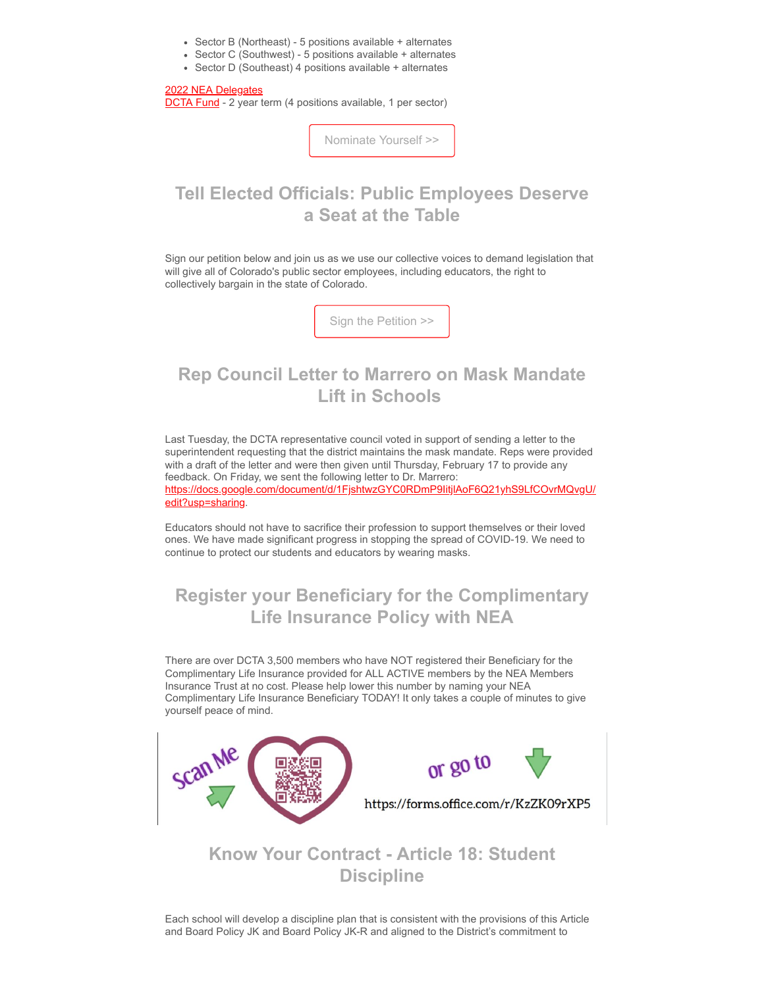- Sector B (Northeast) 5 positions available + alternates
- Sector C (Southwest) 5 positions available + alternates
- Sector D (Southeast) 4 positions available + alternates

#### [2022 NEA Delegates](https://docs.google.com/document/d/1NnA5lHuYkyfrij4988XGF5ndyBYJhY5bQgmkV0adQjo/edit?emci=6ebe3bf9-3e94-ec11-a507-281878b83d8a&emdi=ea000000-0000-0000-0000-000000000001&ceid={{ContactsEmailID}}#bookmark=id.5neotmxzvj2c)

[DCTA Fund](https://docs.google.com/document/d/1NnA5lHuYkyfrij4988XGF5ndyBYJhY5bQgmkV0adQjo/edit?emci=6ebe3bf9-3e94-ec11-a507-281878b83d8a&emdi=ea000000-0000-0000-0000-000000000001&ceid={{ContactsEmailID}}#bookmark=id.8zljvrvvt4m) - 2 year term (4 positions available, 1 per sector)

[Nominate Yourself >>](https://docs.google.com/forms/d/1pgNmPcqCmkeKvf2kJefqW_cXgR8tqrzmaXC3A_T0O9k/edit?usp=sharing&emci=6ebe3bf9-3e94-ec11-a507-281878b83d8a&emdi=ea000000-0000-0000-0000-000000000001&ceid={{ContactsEmailID}})

### **Tell Elected Officials: Public Employees Deserve a Seat at the Table**

Sign our petition below and join us as we use our collective voices to demand legislation that will give all of Colorado's public sector employees, including educators, the right to collectively bargain in the state of Colorado.

[Sign the Petition >>](https://coloradoea-action.org/cb-petition/?fbclid=IwAR07CuVgf1nBmLPJQQT5IUqQXJI5HqaKteXRjrhZVFg1a0hVjJj3oCVkj4g&emci=6ebe3bf9-3e94-ec11-a507-281878b83d8a&emdi=ea000000-0000-0000-0000-000000000001&ceid={{ContactsEmailID}})

### **Rep Council Letter to Marrero on Mask Mandate Lift in Schools**

Last Tuesday, the DCTA representative council voted in support of sending a letter to the superintendent requesting that the district maintains the mask mandate. Reps were provided with a draft of the letter and were then given until Thursday, February 17 to provide any feedback. On Friday, we sent the following letter to Dr. Marrero: [https://docs.google.com/document/d/1FjshtwzGYC0RDmP9IitjlAoF6Q21yhS9LfCOvrMQvgU/](https://docs.google.com/document/d/1FjshtwzGYC0RDmP9IitjlAoF6Q21yhS9LfCOvrMQvgU/edit?usp=sharing&emci=6ebe3bf9-3e94-ec11-a507-281878b83d8a&emdi=ea000000-0000-0000-0000-000000000001&ceid={{ContactsEmailID}}) edit?usp=sharing.

Educators should not have to sacrifice their profession to support themselves or their loved ones. We have made significant progress in stopping the spread of COVID-19. We need to continue to protect our students and educators by wearing masks.

### **Register your Beneficiary for the Complimentary Life Insurance Policy with NEA**

There are over DCTA 3,500 members who have NOT registered their Beneficiary for the Complimentary Life Insurance provided for ALL ACTIVE members by the NEA Members Insurance Trust at no cost. Please help lower this number by naming your NEA Complimentary Life Insurance Beneficiary TODAY! It only takes a couple of minutes to give yourself peace of mind.



### **Know Your Contract - Article 18: Student Discipline**

Each school will develop a discipline plan that is consistent with the provisions of this Article and Board Policy JK and Board Policy JK-R and aligned to the District's commitment to